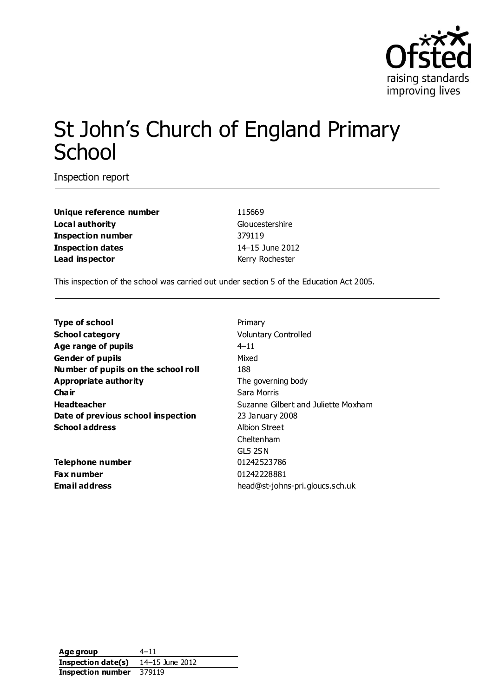

# St John's Church of England Primary **School**

Inspection report

**Unique reference number** 115669 **Local authority** Gloucestershire **Inspection number** 379119 **Inspection dates** 14–15 June 2012 **Lead inspector** Kerry Rochester

This inspection of the school was carried out under section 5 of the Education Act 2005.

| <b>Type of school</b>               | Primary                             |
|-------------------------------------|-------------------------------------|
| <b>School category</b>              | <b>Voluntary Controlled</b>         |
| Age range of pupils                 | $4 - 11$                            |
| <b>Gender of pupils</b>             | Mixed                               |
| Number of pupils on the school roll | 188                                 |
| Appropriate authority               | The governing body                  |
| Cha ir                              | Sara Morris                         |
| <b>Headteacher</b>                  | Suzanne Gilbert and Juliette Moxham |
| Date of previous school inspection  | 23 January 2008                     |
| <b>School address</b>               | Albion Street                       |
|                                     | Cheltenham                          |
|                                     | GL5 2SN                             |
| Telephone number                    | 01242523786                         |
| Fax number                          | 01242228881                         |
| Email address                       | head@st-johns-pri.gloucs.sch.uk     |
|                                     |                                     |

**Age group** 4–11 **Inspection date(s)** 14–15 June 2012 **Inspection number** 379119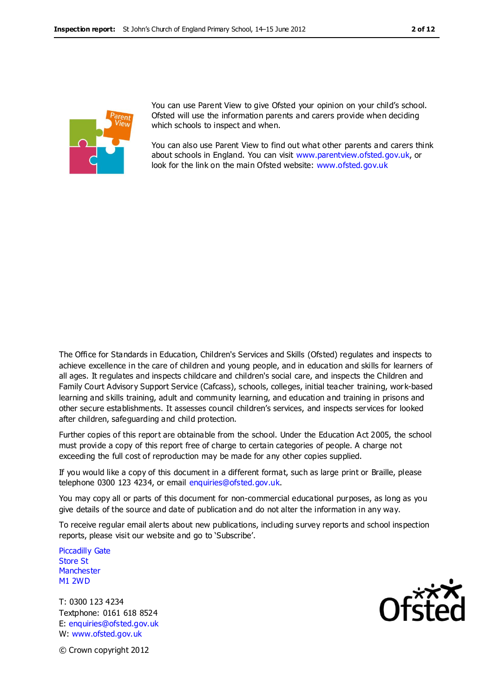

You can use Parent View to give Ofsted your opinion on your child's school. Ofsted will use the information parents and carers provide when deciding which schools to inspect and when.

You can also use Parent View to find out what other parents and carers think about schools in England. You can visit [www.parentview.ofsted.gov.uk,](http://www.parentview.ofsted.gov.uk/) or look for the link on the main Ofsted website: [www.ofsted.gov.uk](http://www.ofsted.gov.uk/)

The Office for Standards in Education, Children's Services and Skills (Ofsted) regulates and inspects to achieve excellence in the care of children and young people, and in education and skills for learners of all ages. It regulates and inspects childcare and children's social care, and inspects the Children and Family Court Advisory Support Service (Cafcass), schools, colleges, initial teacher training, work-based learning and skills training, adult and community learning, and education and training in prisons and other secure establishments. It assesses council children's services, and inspects services for looked after children, safeguarding and child protection.

Further copies of this report are obtainable from the school. Under the Education Act 2005, the school must provide a copy of this report free of charge to certain categories of people. A charge not exceeding the full cost of reproduction may be made for any other copies supplied.

If you would like a copy of this document in a different format, such as large print or Braille, please telephone 0300 123 4234, or email enquiries@ofsted.gov.uk.

You may copy all or parts of this document for non-commercial educational purposes, as long as you give details of the source and date of publication and do not alter the information in any way.

To receive regular email alerts about new publications, including survey reports and school inspection reports, please visit our website and go to 'Subscribe'.

Piccadilly Gate Store St **Manchester** M1 2WD

T: 0300 123 4234 Textphone: 0161 618 8524 E: enquiries@ofsted.gov.uk W: www.ofsted.gov.uk



© Crown copyright 2012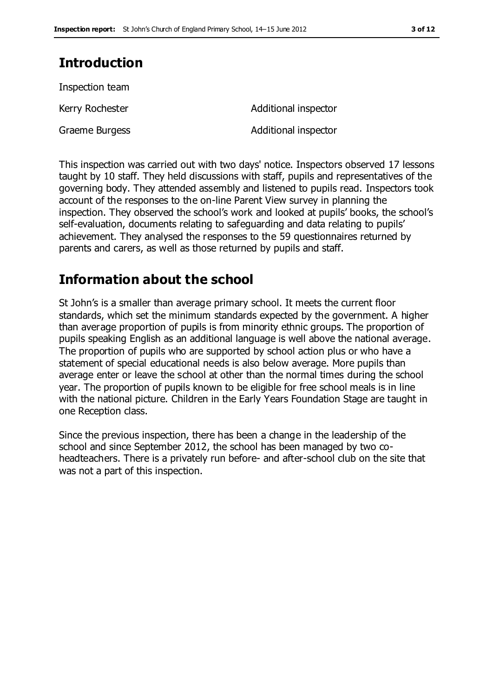## **Introduction**

| Inspection team |                      |
|-----------------|----------------------|
| Kerry Rochester | Additional inspector |
| Graeme Burgess  | Additional inspector |

This inspection was carried out with two days' notice. Inspectors observed 17 lessons taught by 10 staff. They held discussions with staff, pupils and representatives of the governing body. They attended assembly and listened to pupils read. Inspectors took account of the responses to the on-line Parent View survey in planning the inspection. They observed the school's work and looked at pupils' books, the school's self-evaluation, documents relating to safeguarding and data relating to pupils' achievement. They analysed the responses to the 59 questionnaires returned by parents and carers, as well as those returned by pupils and staff.

## **Information about the school**

St John's is a smaller than average primary school. It meets the current floor standards, which set the minimum standards expected by the government. A higher than average proportion of pupils is from minority ethnic groups. The proportion of pupils speaking English as an additional language is well above the national average. The proportion of pupils who are supported by school action plus or who have a statement of special educational needs is also below average. More pupils than average enter or leave the school at other than the normal times during the school year. The proportion of pupils known to be eligible for free school meals is in line with the national picture. Children in the Early Years Foundation Stage are taught in one Reception class.

Since the previous inspection, there has been a change in the leadership of the school and since September 2012, the school has been managed by two coheadteachers. There is a privately run before- and after-school club on the site that was not a part of this inspection.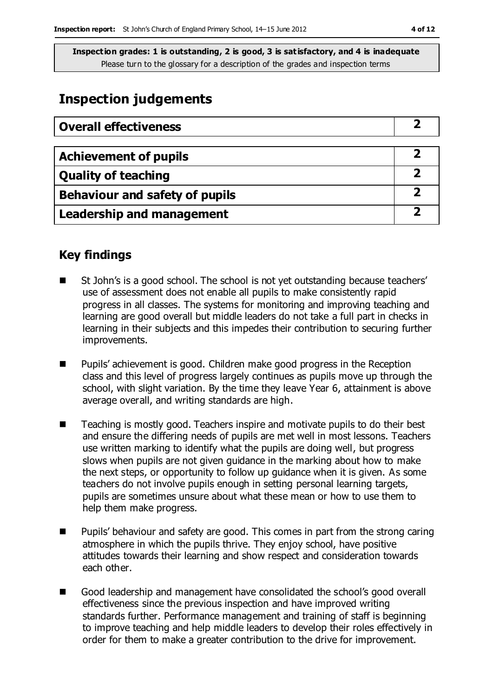## **Inspection judgements**

| <b>Overall effectiveness</b>     |  |
|----------------------------------|--|
|                                  |  |
| <b>Achievement of pupils</b>     |  |
| <b>Quality of teaching</b>       |  |
| Behaviour and safety of pupils   |  |
| <b>Leadership and management</b> |  |

## **Key findings**

- St John's is a good school. The school is not yet outstanding because teachers' use of assessment does not enable all pupils to make consistently rapid progress in all classes. The systems for monitoring and improving teaching and learning are good overall but middle leaders do not take a full part in checks in learning in their subjects and this impedes their contribution to securing further improvements.
- Pupils' achievement is good. Children make good progress in the Reception class and this level of progress largely continues as pupils move up through the school, with slight variation. By the time they leave Year 6, attainment is above average overall, and writing standards are high.
- Teaching is mostly good. Teachers inspire and motivate pupils to do their best and ensure the differing needs of pupils are met well in most lessons. Teachers use written marking to identify what the pupils are doing well, but progress slows when pupils are not given guidance in the marking about how to make the next steps, or opportunity to follow up guidance when it is given. As some teachers do not involve pupils enough in setting personal learning targets, pupils are sometimes unsure about what these mean or how to use them to help them make progress.
- Pupils' behaviour and safety are good. This comes in part from the strong caring atmosphere in which the pupils thrive. They enjoy school, have positive attitudes towards their learning and show respect and consideration towards each other.
- Good leadership and management have consolidated the school's good overall effectiveness since the previous inspection and have improved writing standards further. Performance management and training of staff is beginning to improve teaching and help middle leaders to develop their roles effectively in order for them to make a greater contribution to the drive for improvement.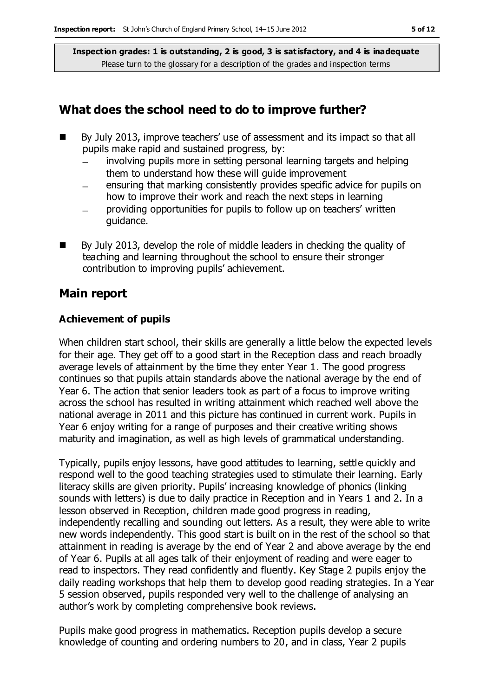### **What does the school need to do to improve further?**

- By July 2013, improve teachers' use of assessment and its impact so that all pupils make rapid and sustained progress, by:
	- involving pupils more in setting personal learning targets and helping them to understand how these will guide improvement
	- ensuring that marking consistently provides specific advice for pupils on how to improve their work and reach the next steps in learning
	- providing opportunities for pupils to follow up on teachers' written guidance.
- By July 2013, develop the role of middle leaders in checking the quality of teaching and learning throughout the school to ensure their stronger contribution to improving pupils' achievement.

## **Main report**

#### **Achievement of pupils**

When children start school, their skills are generally a little below the expected levels for their age. They get off to a good start in the Reception class and reach broadly average levels of attainment by the time they enter Year 1. The good progress continues so that pupils attain standards above the national average by the end of Year 6. The action that senior leaders took as part of a focus to improve writing across the school has resulted in writing attainment which reached well above the national average in 2011 and this picture has continued in current work. Pupils in Year 6 enjoy writing for a range of purposes and their creative writing shows maturity and imagination, as well as high levels of grammatical understanding.

Typically, pupils enjoy lessons, have good attitudes to learning, settle quickly and respond well to the good teaching strategies used to stimulate their learning. Early literacy skills are given priority. Pupils' increasing knowledge of phonics (linking sounds with letters) is due to daily practice in Reception and in Years 1 and 2. In a lesson observed in Reception, children made good progress in reading, independently recalling and sounding out letters. As a result, they were able to write new words independently. This good start is built on in the rest of the school so that attainment in reading is average by the end of Year 2 and above average by the end of Year 6. Pupils at all ages talk of their enjoyment of reading and were eager to read to inspectors. They read confidently and fluently. Key Stage 2 pupils enjoy the daily reading workshops that help them to develop good reading strategies. In a Year 5 session observed, pupils responded very well to the challenge of analysing an author's work by completing comprehensive book reviews.

Pupils make good progress in mathematics. Reception pupils develop a secure knowledge of counting and ordering numbers to 20, and in class, Year 2 pupils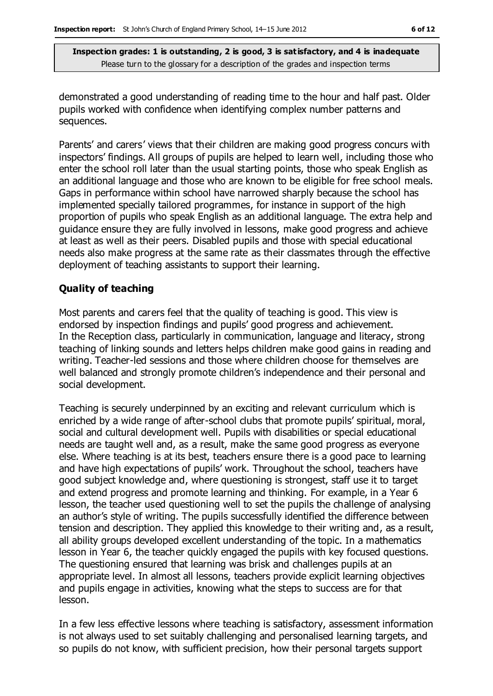demonstrated a good understanding of reading time to the hour and half past. Older pupils worked with confidence when identifying complex number patterns and sequences.

Parents' and carers' views that their children are making good progress concurs with inspectors' findings. All groups of pupils are helped to learn well, including those who enter the school roll later than the usual starting points, those who speak English as an additional language and those who are known to be eligible for free school meals. Gaps in performance within school have narrowed sharply because the school has implemented specially tailored programmes, for instance in support of the high proportion of pupils who speak English as an additional language. The extra help and guidance ensure they are fully involved in lessons, make good progress and achieve at least as well as their peers. Disabled pupils and those with special educational needs also make progress at the same rate as their classmates through the effective deployment of teaching assistants to support their learning.

#### **Quality of teaching**

Most parents and carers feel that the quality of teaching is good. This view is endorsed by inspection findings and pupils' good progress and achievement. In the Reception class, particularly in communication, language and literacy, strong teaching of linking sounds and letters helps children make good gains in reading and writing. Teacher-led sessions and those where children choose for themselves are well balanced and strongly promote children's independence and their personal and social development.

Teaching is securely underpinned by an exciting and relevant curriculum which is enriched by a wide range of after-school clubs that promote pupils' spiritual, moral, social and cultural development well. Pupils with disabilities or special educational needs are taught well and, as a result, make the same good progress as everyone else. Where teaching is at its best, teachers ensure there is a good pace to learning and have high expectations of pupils' work. Throughout the school, teachers have good subject knowledge and, where questioning is strongest, staff use it to target and extend progress and promote learning and thinking. For example, in a Year 6 lesson, the teacher used questioning well to set the pupils the challenge of analysing an author's style of writing. The pupils successfully identified the difference between tension and description. They applied this knowledge to their writing and, as a result, all ability groups developed excellent understanding of the topic. In a mathematics lesson in Year 6, the teacher quickly engaged the pupils with key focused questions. The questioning ensured that learning was brisk and challenges pupils at an appropriate level. In almost all lessons, teachers provide explicit learning objectives and pupils engage in activities, knowing what the steps to success are for that lesson.

In a few less effective lessons where teaching is satisfactory, assessment information is not always used to set suitably challenging and personalised learning targets, and so pupils do not know, with sufficient precision, how their personal targets support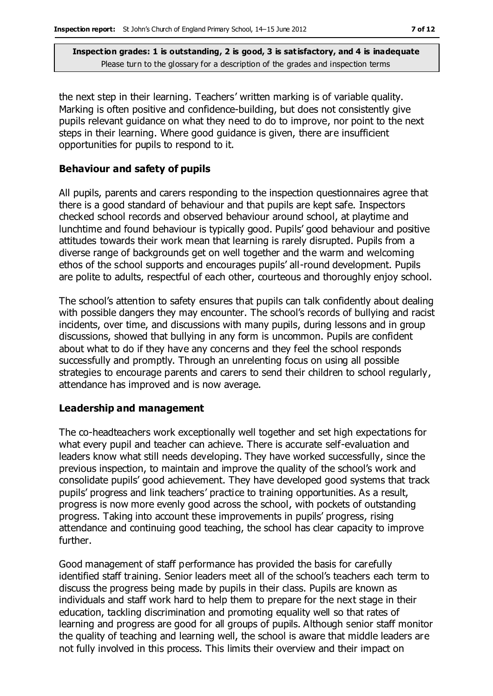the next step in their learning. Teachers' written marking is of variable quality. Marking is often positive and confidence-building, but does not consistently give pupils relevant guidance on what they need to do to improve, nor point to the next steps in their learning. Where good guidance is given, there are insufficient opportunities for pupils to respond to it.

#### **Behaviour and safety of pupils**

All pupils, parents and carers responding to the inspection questionnaires agree that there is a good standard of behaviour and that pupils are kept safe. Inspectors checked school records and observed behaviour around school, at playtime and lunchtime and found behaviour is typically good. Pupils' good behaviour and positive attitudes towards their work mean that learning is rarely disrupted. Pupils from a diverse range of backgrounds get on well together and the warm and welcoming ethos of the school supports and encourages pupils' all-round development. Pupils are polite to adults, respectful of each other, courteous and thoroughly enjoy school.

The school's attention to safety ensures that pupils can talk confidently about dealing with possible dangers they may encounter. The school's records of bullying and racist incidents, over time, and discussions with many pupils, during lessons and in group discussions, showed that bullying in any form is uncommon. Pupils are confident about what to do if they have any concerns and they feel the school responds successfully and promptly. Through an unrelenting focus on using all possible strategies to encourage parents and carers to send their children to school regularly, attendance has improved and is now average.

#### **Leadership and management**

The co-headteachers work exceptionally well together and set high expectations for what every pupil and teacher can achieve. There is accurate self-evaluation and leaders know what still needs developing. They have worked successfully, since the previous inspection, to maintain and improve the quality of the school's work and consolidate pupils' good achievement. They have developed good systems that track pupils' progress and link teachers' practice to training opportunities. As a result, progress is now more evenly good across the school, with pockets of outstanding progress. Taking into account these improvements in pupils' progress, rising attendance and continuing good teaching, the school has clear capacity to improve further.

Good management of staff performance has provided the basis for carefully identified staff training. Senior leaders meet all of the school's teachers each term to discuss the progress being made by pupils in their class. Pupils are known as individuals and staff work hard to help them to prepare for the next stage in their education, tackling discrimination and promoting equality well so that rates of learning and progress are good for all groups of pupils. Although senior staff monitor the quality of teaching and learning well, the school is aware that middle leaders are not fully involved in this process. This limits their overview and their impact on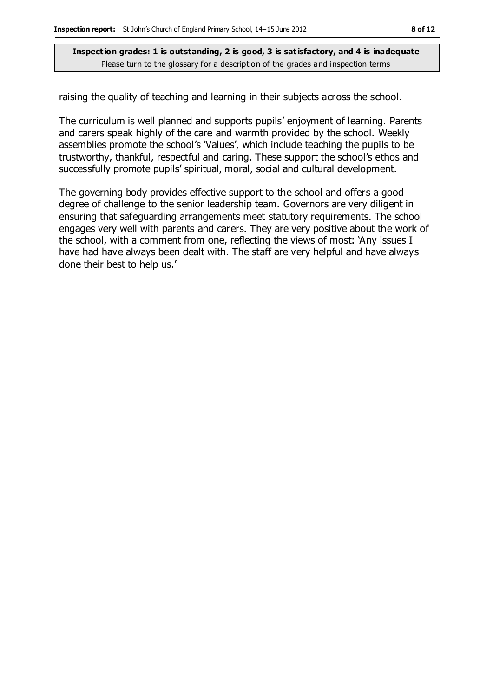raising the quality of teaching and learning in their subjects across the school.

The curriculum is well planned and supports pupils' enjoyment of learning. Parents and carers speak highly of the care and warmth provided by the school. Weekly assemblies promote the school's 'Values', which include teaching the pupils to be trustworthy, thankful, respectful and caring. These support the school's ethos and successfully promote pupils' spiritual, moral, social and cultural development.

The governing body provides effective support to the school and offers a good degree of challenge to the senior leadership team. Governors are very diligent in ensuring that safeguarding arrangements meet statutory requirements. The school engages very well with parents and carers. They are very positive about the work of the school, with a comment from one, reflecting the views of most: 'Any issues I have had have always been dealt with. The staff are very helpful and have always done their best to help us.'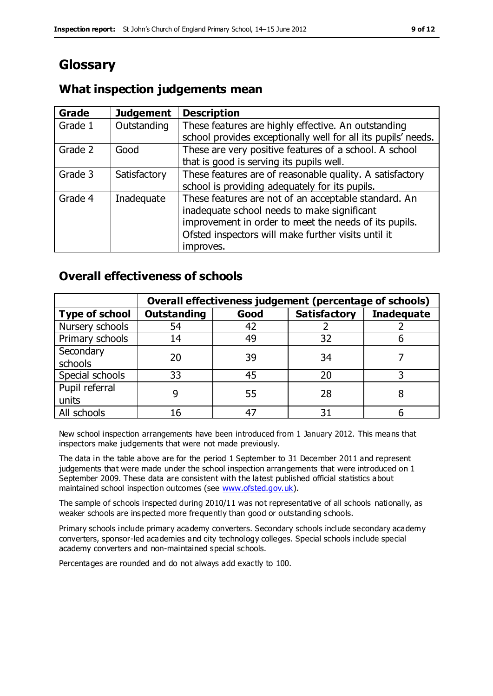## **Glossary**

#### **Grade Judgement Description** Grade  $1$  | Outstanding | These features are highly effective. An outstanding school provides exceptionally well for all its pupils' needs. Grade 2 Good These are very positive features of a school. A school that is good is serving its pupils well. Grade 3  $\parallel$  Satisfactory  $\parallel$  These features are of reasonable quality. A satisfactory school is providing adequately for its pupils. Grade 4  $\parallel$  Inadequate  $\parallel$  These features are not of an acceptable standard. An inadequate school needs to make significant improvement in order to meet the needs of its pupils. Ofsted inspectors will make further visits until it improves.

## **What inspection judgements mean**

## **Overall effectiveness of schools**

|                       | Overall effectiveness judgement (percentage of schools) |      |                     |                   |
|-----------------------|---------------------------------------------------------|------|---------------------|-------------------|
| <b>Type of school</b> | <b>Outstanding</b>                                      | Good | <b>Satisfactory</b> | <b>Inadequate</b> |
| Nursery schools       | 54                                                      | 42   |                     |                   |
| Primary schools       | 14                                                      | 49   | 32                  |                   |
| Secondary             | 20                                                      | 39   | 34                  |                   |
| schools               |                                                         |      |                     |                   |
| Special schools       | 33                                                      | 45   | 20                  |                   |
| Pupil referral        |                                                         | 55   | 28                  |                   |
| units                 |                                                         |      |                     |                   |
| All schools           | 16                                                      |      | 3٠                  |                   |

New school inspection arrangements have been introduced from 1 January 2012. This means that inspectors make judgements that were not made previously.

The data in the table above are for the period 1 September to 31 December 2011 and represent judgements that were made under the school inspection arrangements that were introduced on 1 September 2009. These data are consistent with the latest published official statistics about maintained school inspection outcomes (see [www.ofsted.gov.uk\)](http://www.ofsted.gov.uk/).

The sample of schools inspected during 2010/11 was not representative of all schools nationally, as weaker schools are inspected more frequently than good or outstanding schools.

Primary schools include primary academy converters. Secondary schools include secondary academy converters, sponsor-led academies and city technology colleges. Special schools include special academy converters and non-maintained special schools.

Percentages are rounded and do not always add exactly to 100.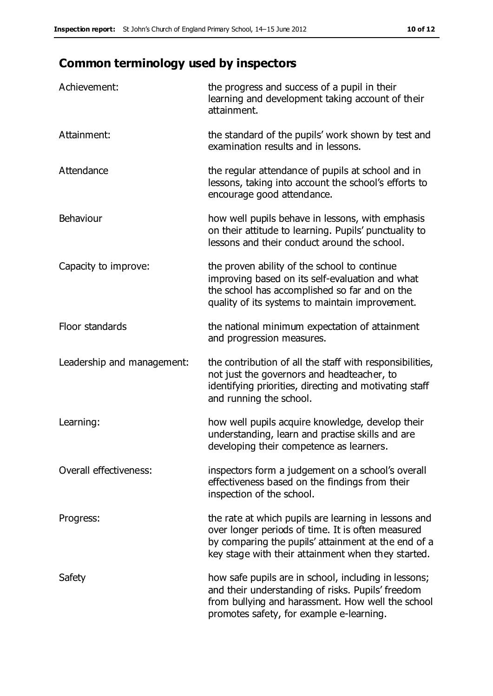## **Common terminology used by inspectors**

| Achievement:               | the progress and success of a pupil in their<br>learning and development taking account of their<br>attainment.                                                                                                        |
|----------------------------|------------------------------------------------------------------------------------------------------------------------------------------------------------------------------------------------------------------------|
| Attainment:                | the standard of the pupils' work shown by test and<br>examination results and in lessons.                                                                                                                              |
| Attendance                 | the regular attendance of pupils at school and in<br>lessons, taking into account the school's efforts to<br>encourage good attendance.                                                                                |
| Behaviour                  | how well pupils behave in lessons, with emphasis<br>on their attitude to learning. Pupils' punctuality to<br>lessons and their conduct around the school.                                                              |
| Capacity to improve:       | the proven ability of the school to continue<br>improving based on its self-evaluation and what<br>the school has accomplished so far and on the<br>quality of its systems to maintain improvement.                    |
| Floor standards            | the national minimum expectation of attainment<br>and progression measures.                                                                                                                                            |
| Leadership and management: | the contribution of all the staff with responsibilities,<br>not just the governors and headteacher, to<br>identifying priorities, directing and motivating staff<br>and running the school.                            |
| Learning:                  | how well pupils acquire knowledge, develop their<br>understanding, learn and practise skills and are<br>developing their competence as learners.                                                                       |
| Overall effectiveness:     | inspectors form a judgement on a school's overall<br>effectiveness based on the findings from their<br>inspection of the school.                                                                                       |
| Progress:                  | the rate at which pupils are learning in lessons and<br>over longer periods of time. It is often measured<br>by comparing the pupils' attainment at the end of a<br>key stage with their attainment when they started. |
| Safety                     | how safe pupils are in school, including in lessons;<br>and their understanding of risks. Pupils' freedom<br>from bullying and harassment. How well the school<br>promotes safety, for example e-learning.             |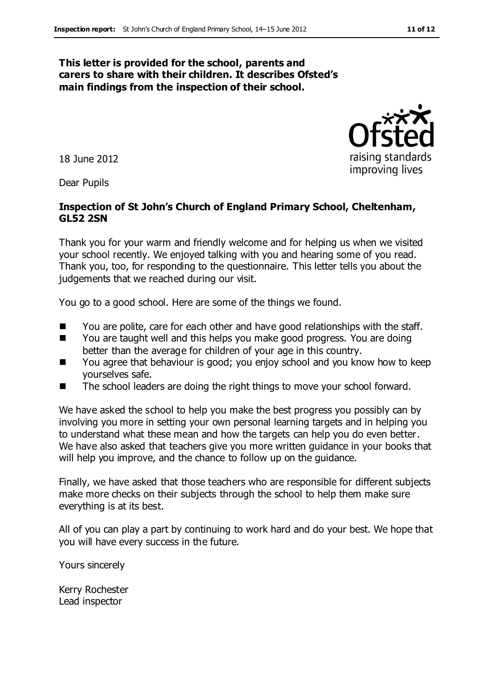#### **This letter is provided for the school, parents and carers to share with their children. It describes Ofsted's main findings from the inspection of their school.**

18 June 2012

Dear Pupils

#### **Inspection of St John's Church of England Primary School, Cheltenham, GL52 2SN**

Thank you for your warm and friendly welcome and for helping us when we visited your school recently. We enjoyed talking with you and hearing some of you read. Thank you, too, for responding to the questionnaire. This letter tells you about the judgements that we reached during our visit.

You go to a good school. Here are some of the things we found.

- You are polite, care for each other and have good relationships with the staff.
- You are taught well and this helps you make good progress. You are doing better than the average for children of your age in this country.
- You agree that behaviour is good; you enjoy school and you know how to keep yourselves safe.
- The school leaders are doing the right things to move your school forward.

We have asked the school to help you make the best progress you possibly can by involving you more in setting your own personal learning targets and in helping you to understand what these mean and how the targets can help you do even better. We have also asked that teachers give you more written guidance in your books that will help you improve, and the chance to follow up on the guidance.

Finally, we have asked that those teachers who are responsible for different subjects make more checks on their subjects through the school to help them make sure everything is at its best.

All of you can play a part by continuing to work hard and do your best. We hope that you will have every success in the future.

Yours sincerely

Kerry Rochester Lead inspector



raising standards improving lives